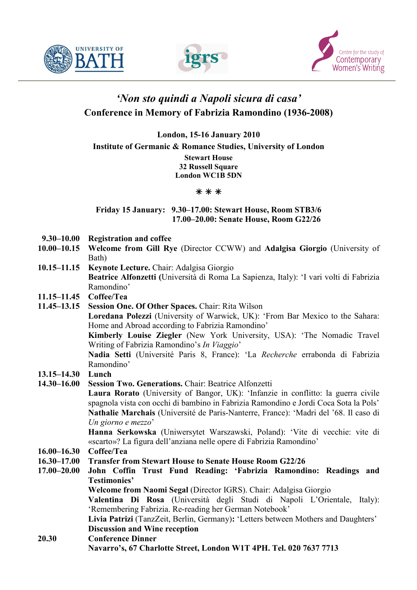





# 'Non sto quindi a Napoli sicura di casa' Conference in Memory of Fabrizia Ramondino (1936-2008)

London, 15-16 January 2010 Institute of Germanic & Romance Studies, University of London

> Stewart House 32 Russell Square London WC1B 5DN

#### $***$

### Friday 15 January: 9.30–17.00: Stewart House, Room STB3/6 17.00–20.00: Senate House, Room G22/26

- 9.30–10.00 Registration and coffee
- 10.00–10.15 Welcome from Gill Rye (Director CCWW) and Adalgisa Giorgio (University of Bath)
- 10.15–11.15 Keynote Lecture. Chair: Adalgisa Giorgio Beatrice Alfonzetti (Università di Roma La Sapienza, Italy): 'I vari volti di Fabrizia Ramondino'
- 11.15–11.45 Coffee/Tea
- 11.45–13.15 Session One. Of Other Spaces. Chair: Rita Wilson

Loredana Polezzi (University of Warwick, UK): 'From Bar Mexico to the Sahara: Home and Abroad according to Fabrizia Ramondino'

Kimberly Louise Ziegler (New York University, USA): 'The Nomadic Travel Writing of Fabrizia Ramondino's In Viaggio'

Nadia Setti (Université Paris 8, France): 'La Recherche errabonda di Fabrizia Ramondino'

- 13.15–14.30 Lunch
- 14.30–16.00 Session Two. Generations. Chair: Beatrice Alfonzetti

Laura Rorato (University of Bangor, UK): 'Infanzie in conflitto: la guerra civile spagnola vista con occhi di bambino in Fabrizia Ramondino e Jordi Coca Sota la Pols' Nathalie Marchais (Université de Paris-Nanterre, France): 'Madri del '68. Il caso di Un giorno e mezzo'

Hanna Serkowska (Uniwersytet Warszawski, Poland): 'Vite di vecchie: vite di «scarto»? La figura dell'anziana nelle opere di Fabrizia Ramondino'

16.00–16.30 Coffee/Tea

- 16.30–17.00 Transfer from Stewart House to Senate House Room G22/26
- 17.00–20.00 John Coffin Trust Fund Reading: 'Fabrizia Ramondino: Readings and Testimonies'

Welcome from Naomi Segal (Director IGRS). Chair: Adalgisa Giorgio

Valentina Di Rosa (Università degli Studi di Napoli L'Orientale, Italy): 'Remembering Fabrizia. Re-reading her German Notebook'

Livia Patrizi (TanzZeit, Berlin, Germany): 'Letters between Mothers and Daughters' Discussion and Wine reception

20.30 Conference Dinner Navarro's, 67 Charlotte Street, London W1T 4PH. Tel. 020 7637 7713